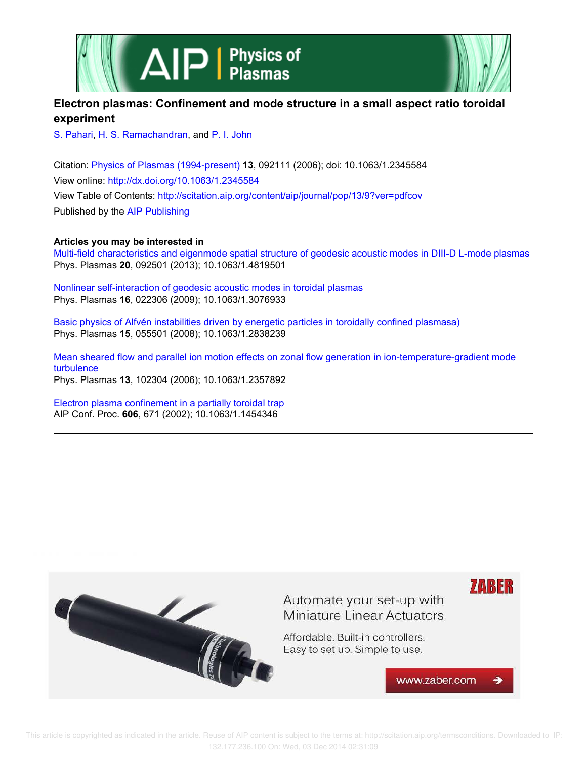



# **Electron plasmas: Confinement and mode structure in a small aspect ratio toroidal experiment**

S. Pahari, H. S. Ramachandran, and P. I. John

Citation: Physics of Plasmas (1994-present) **13**, 092111 (2006); doi: 10.1063/1.2345584 View online: http://dx.doi.org/10.1063/1.2345584 View Table of Contents: http://scitation.aip.org/content/aip/journal/pop/13/9?ver=pdfcov Published by the AIP Publishing

# **Articles you may be interested in**

Multi-field characteristics and eigenmode spatial structure of geodesic acoustic modes in DIII-D L-mode plasmas Phys. Plasmas **20**, 092501 (2013); 10.1063/1.4819501

Nonlinear self-interaction of geodesic acoustic modes in toroidal plasmas Phys. Plasmas **16**, 022306 (2009); 10.1063/1.3076933

Basic physics of Alfvén instabilities driven by energetic particles in toroidally confined plasmasa) Phys. Plasmas **15**, 055501 (2008); 10.1063/1.2838239

Mean sheared flow and parallel ion motion effects on zonal flow generation in ion-temperature-gradient mode turbulence Phys. Plasmas **13**, 102304 (2006); 10.1063/1.2357892

Electron plasma confinement in a partially toroidal trap AIP Conf. Proc. **606**, 671 (2002); 10.1063/1.1454346

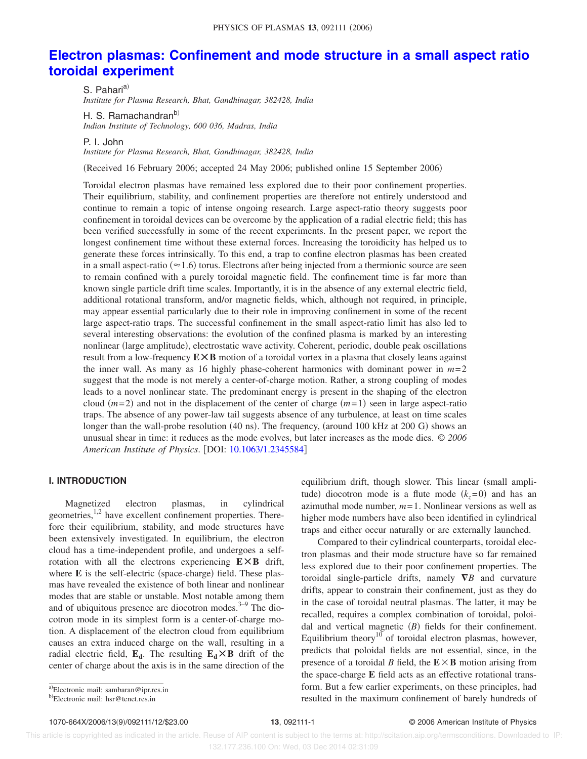# **Electron plasmas: Confinement and mode structure in a small aspect ratio toroidal experiment**

S. Pahari<sup>a)</sup> *Institute for Plasma Research, Bhat, Gandhinagar, 382428, India*

H. S. Ramachandranb) *Indian Institute of Technology, 600 036, Madras, India*

P. I. John

*Institute for Plasma Research, Bhat, Gandhinagar, 382428, India*

(Received 16 February 2006; accepted 24 May 2006; published online 15 September 2006)

Toroidal electron plasmas have remained less explored due to their poor confinement properties. Their equilibrium, stability, and confinement properties are therefore not entirely understood and continue to remain a topic of intense ongoing research. Large aspect-ratio theory suggests poor confinement in toroidal devices can be overcome by the application of a radial electric field; this has been verified successfully in some of the recent experiments. In the present paper, we report the longest confinement time without these external forces. Increasing the toroidicity has helped us to generate these forces intrinsically. To this end, a trap to confine electron plasmas has been created in a small aspect-ratio ( $\approx$  1.6) torus. Electrons after being injected from a thermionic source are seen to remain confined with a purely toroidal magnetic field. The confinement time is far more than known single particle drift time scales. Importantly, it is in the absence of any external electric field, additional rotational transform, and/or magnetic fields, which, although not required, in principle, may appear essential particularly due to their role in improving confinement in some of the recent large aspect-ratio traps. The successful confinement in the small aspect-ratio limit has also led to several interesting observations: the evolution of the confined plasma is marked by an interesting nonlinear (large amplitude), electrostatic wave activity. Coherent, periodic, double peak oscillations result from a low-frequency **EÃB** motion of a toroidal vortex in a plasma that closely leans against the inner wall. As many as 16 highly phase-coherent harmonics with dominant power in  $m=2$ suggest that the mode is not merely a center-of-charge motion. Rather, a strong coupling of modes leads to a novel nonlinear state. The predominant energy is present in the shaping of the electron cloud  $(m=2)$  and not in the displacement of the center of charge  $(m=1)$  seen in large aspect-ratio traps. The absence of any power-law tail suggests absence of any turbulence, at least on time scales longer than the wall-probe resolution (40 ns). The frequency, (around 100 kHz at 200 G) shows an unusual shear in time: it reduces as the mode evolves, but later increases as the mode dies. © *2006 American Institute of Physics*. DOI: 10.1063/1.2345584

# **I. INTRODUCTION**

Magnetized electron plasmas, in cylindrical geometries,<sup>1,2</sup> have excellent confinement properties. Therefore their equilibrium, stability, and mode structures have been extensively investigated. In equilibrium, the electron cloud has a time-independent profile, and undergoes a selfrotation with all the electrons experiencing **EÃB** drift, where E is the self-electric (space-charge) field. These plasmas have revealed the existence of both linear and nonlinear modes that are stable or unstable. Most notable among them and of ubiquitous presence are diocotron modes.<sup>3-9</sup> The diocotron mode in its simplest form is a center-of-charge motion. A displacement of the electron cloud from equilibrium causes an extra induced charge on the wall, resulting in a radial electric field,  $\mathbf{E}_{d}$ . The resulting  $\mathbf{E}_{d} \times \mathbf{B}$  drift of the center of charge about the axis is in the same direction of the

Compared to their cylindrical counterparts, toroidal electron plasmas and their mode structure have so far remained less explored due to their poor confinement properties. The toroidal single-particle drifts, namely  $\nabla B$  and curvature drifts, appear to constrain their confinement, just as they do in the case of toroidal neutral plasmas. The latter, it may be recalled, requires a complex combination of toroidal, poloidal and vertical magnetic  $(B)$  fields for their confinement. Equilibrium theory<sup>10</sup> of toroidal electron plasmas, however, predicts that poloidal fields are not essential, since, in the presence of a toroidal *B* field, the  $E \times B$  motion arising from the space-charge **E** field acts as an effective rotational transform. But a few earlier experiments, on these principles, had resulted in the maximum confinement of barely hundreds of

1070-664X/2006/13(9)/092111/12/\$23.00

equilibrium drift, though slower. This linear (small amplitude) diocotron mode is a flute mode  $(k_z=0)$  and has an azimuthal mode number,  $m=1$ . Nonlinear versions as well as higher mode numbers have also been identified in cylindrical traps and either occur naturally or are externally launched.

a)Electronic mail: sambaran@ipr.res.in

<sup>&</sup>lt;sup>b)</sup>Electronic mail: hsr@tenet.res.in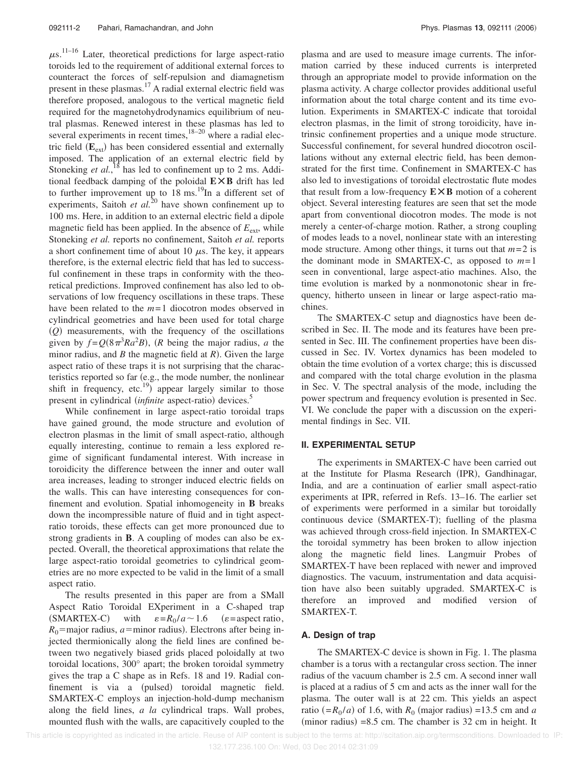$\mu$ s.<sup>11–16</sup> Later, theoretical predictions for large aspect-ratio toroids led to the requirement of additional external forces to counteract the forces of self-repulsion and diamagnetism present in these plasmas.<sup>17</sup> A radial external electric field was therefore proposed, analogous to the vertical magnetic field required for the magnetohydrodynamics equilibrium of neutral plasmas. Renewed interest in these plasmas has led to several experiments in recent times, $18-20$  where a radial electric field ( $\mathbf{E}_{ext}$ ) has been considered essential and externally imposed. The application of an external electric field by Stoneking *et al.*,<sup>18</sup> has led to confinement up to 2 ms. Additional feedback damping of the poloidal  $E \times B$  drift has led to further improvement up to  $18 \text{ ms.}^{19}$ In a different set of experiments, Saitoh *et al.*<sup>20</sup> have shown confinement up to 100 ms. Here, in addition to an external electric field a dipole magnetic field has been applied. In the absence of  $E_{\text{ext}}$ , while Stoneking *et al.* reports no confinement, Saitoh *et al.* reports a short confinement time of about 10  $\mu$ s. The key, it appears therefore, is the external electric field that has led to successful confinement in these traps in conformity with the theoretical predictions. Improved confinement has also led to observations of low frequency oscillations in these traps. These have been related to the *m*=1 diocotron modes observed in cylindrical geometries and have been used for total charge *Q*- measurements, with the frequency of the oscillations given by  $f = Q(8\pi^3 Ra^2 B)$ , (*R* being the major radius, *a* the minor radius, and  $B$  the magnetic field at  $R$ ). Given the large aspect ratio of these traps it is not surprising that the characteristics reported so far  $(e.g., the mode number, the nonlinear$ shift in frequency, etc.<sup>19</sup>) appear largely similar to those present in cylindrical *(infinite* aspect-ratio) devices.<sup>5</sup>

While confinement in large aspect-ratio toroidal traps have gained ground, the mode structure and evolution of electron plasmas in the limit of small aspect-ratio, although equally interesting, continue to remain a less explored regime of significant fundamental interest. With increase in toroidicity the difference between the inner and outer wall area increases, leading to stronger induced electric fields on the walls. This can have interesting consequences for confinement and evolution. Spatial inhomogeneity in **B** breaks down the incompressible nature of fluid and in tight aspectratio toroids, these effects can get more pronounced due to strong gradients in **B**. A coupling of modes can also be expected. Overall, the theoretical approximations that relate the large aspect-ratio toroidal geometries to cylindrical geometries are no more expected to be valid in the limit of a small aspect ratio.

The results presented in this paper are from a SMall Aspect Ratio Toroidal EXperiment in a C-shaped trap (SMARTEX-C) with  $\varepsilon = R_0/a \sim 1.6$  ( $\varepsilon$  = aspect ratio,  $R_0$ =major radius, *a*=minor radius). Electrons after being injected thermionically along the field lines are confined between two negatively biased grids placed poloidally at two toroidal locations, 300° apart; the broken toroidal symmetry gives the trap a C shape as in Refs. 18 and 19. Radial confinement is via a (pulsed) toroidal magnetic field. SMARTEX-C employs an injection-hold-dump mechanism along the field lines, *a la* cylindrical traps. Wall probes, mounted flush with the walls, are capacitively coupled to the plasma and are used to measure image currents. The information carried by these induced currents is interpreted through an appropriate model to provide information on the plasma activity. A charge collector provides additional useful information about the total charge content and its time evolution. Experiments in SMARTEX-C indicate that toroidal electron plasmas, in the limit of strong toroidicity, have intrinsic confinement properties and a unique mode structure. Successful confinement, for several hundred diocotron oscillations without any external electric field, has been demonstrated for the first time. Confinement in SMARTEX-C has also led to investigations of toroidal electrostatic flute modes that result from a low-frequency  $E \times B$  motion of a coherent object. Several interesting features are seen that set the mode apart from conventional diocotron modes. The mode is not merely a center-of-charge motion. Rather, a strong coupling of modes leads to a novel, nonlinear state with an interesting mode structure. Among other things, it turns out that *m*=2 is the dominant mode in SMARTEX-C, as opposed to *m*=1 seen in conventional, large aspect-atio machines. Also, the time evolution is marked by a nonmonotonic shear in frequency, hitherto unseen in linear or large aspect-ratio machines.

The SMARTEX-C setup and diagnostics have been described in Sec. II. The mode and its features have been presented in Sec. III. The confinement properties have been discussed in Sec. IV. Vortex dynamics has been modeled to obtain the time evolution of a vortex charge; this is discussed and compared with the total charge evolution in the plasma in Sec. V. The spectral analysis of the mode, including the power spectrum and frequency evolution is presented in Sec. VI. We conclude the paper with a discussion on the experimental findings in Sec. VII.

# **II. EXPERIMENTAL SETUP**

The experiments in SMARTEX-C have been carried out at the Institute for Plasma Research (IPR), Gandhinagar, India, and are a continuation of earlier small aspect-ratio experiments at IPR, referred in Refs. 13–16. The earlier set of experiments were performed in a similar but toroidally continuous device (SMARTEX-T); fuelling of the plasma was achieved through cross-field injection. In SMARTEX-C the toroidal symmetry has been broken to allow injection along the magnetic field lines. Langmuir Probes of SMARTEX-T have been replaced with newer and improved diagnostics. The vacuum, instrumentation and data acquisition have also been suitably upgraded. SMARTEX-C is therefore an improved and modified version of SMARTEX-T.

#### **A. Design of trap**

The SMARTEX-C device is shown in Fig. 1. The plasma chamber is a torus with a rectangular cross section. The inner radius of the vacuum chamber is 2.5 cm. A second inner wall is placed at a radius of 5 cm and acts as the inner wall for the plasma. The outer wall is at 22 cm. This yields an aspect ratio  $(=R_0/a)$  of 1.6, with  $R_0$  (major radius) =13.5 cm and *a*  $(\text{minor radius}) = 8.5 \text{ cm}$ . The chamber is 32 cm in height. It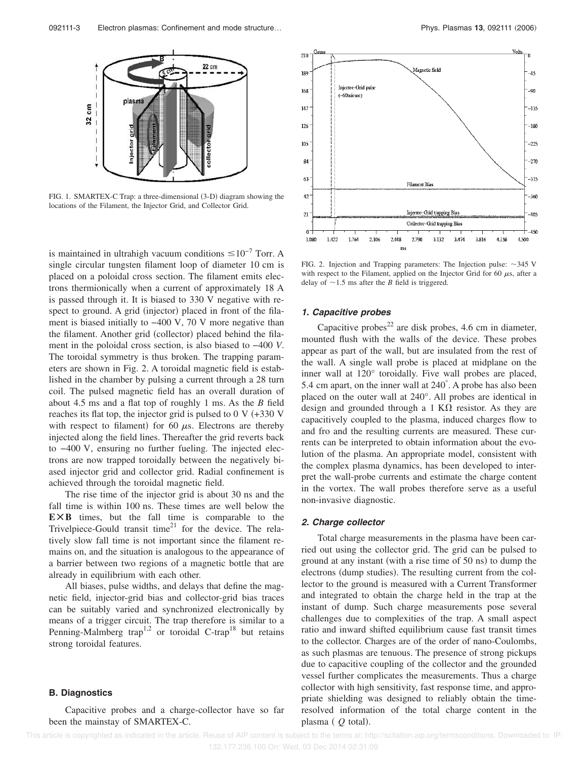

FIG. 1. SMARTEX-C Trap: a three-dimensional (3-D) diagram showing the locations of the Filament, the Injector Grid, and Collector Grid.

is maintained in ultrahigh vacuum conditions  $\leq 10^{-7}$  Torr. A single circular tungsten filament loop of diameter 10 cm is placed on a poloidal cross section. The filament emits electrons thermionically when a current of approximately 18 A is passed through it. It is biased to 330 V negative with respect to ground. A grid (injector) placed in front of the filament is biased initially to −400 V, 70 V more negative than the filament. Another grid (collector) placed behind the filament in the poloidal cross section, is also biased to −400 *V*. The toroidal symmetry is thus broken. The trapping parameters are shown in Fig. 2. A toroidal magnetic field is established in the chamber by pulsing a current through a 28 turn coil. The pulsed magnetic field has an overall duration of about 4.5 ms and a flat top of roughly 1 ms. As the *B* field reaches its flat top, the injector grid is pulsed to  $0 \text{ V } (+330 \text{ V})$ with respect to filament) for 60  $\mu$ s. Electrons are thereby injected along the field lines. Thereafter the grid reverts back to −400 V, ensuring no further fueling. The injected electrons are now trapped toroidally between the negatively biased injector grid and collector grid. Radial confinement is achieved through the toroidal magnetic field.

The rise time of the injector grid is about 30 ns and the fall time is within 100 ns. These times are well below the **EÃB** times, but the fall time is comparable to the Trivelpiece-Gould transit time<sup>21</sup> for the device. The relatively slow fall time is not important since the filament remains on, and the situation is analogous to the appearance of a barrier between two regions of a magnetic bottle that are already in equilibrium with each other.

All biases, pulse widths, and delays that define the magnetic field, injector-grid bias and collector-grid bias traces can be suitably varied and synchronized electronically by means of a trigger circuit. The trap therefore is similar to a Penning-Malmberg trap<sup>1,2</sup> or toroidal C-trap<sup>18</sup> but retains strong toroidal features.

#### **B. Diagnostics**

Capacitive probes and a charge-collector have so far been the mainstay of SMARTEX-C.



FIG. 2. Injection and Trapping parameters: The Injection pulse:  $\sim$ 345 V with respect to the Filament, applied on the Injector Grid for 60  $\mu$ s, after a delay of  $\sim$ 1.5 ms after the *B* field is triggered.

#### **1. Capacitive probes**

Capacitive probes<sup>22</sup> are disk probes, 4.6 cm in diameter, mounted flush with the walls of the device. These probes appear as part of the wall, but are insulated from the rest of the wall. A single wall probe is placed at midplane on the inner wall at 120° toroidally. Five wall probes are placed, 5.4 cm apart, on the inner wall at 240° . A probe has also been placed on the outer wall at 240°. All probes are identical in design and grounded through a 1 K $\Omega$  resistor. As they are capacitively coupled to the plasma, induced charges flow to and fro and the resulting currents are measured. These currents can be interpreted to obtain information about the evolution of the plasma. An appropriate model, consistent with the complex plasma dynamics, has been developed to interpret the wall-probe currents and estimate the charge content in the vortex. The wall probes therefore serve as a useful non-invasive diagnostic.

#### **2. Charge collector**

Total charge measurements in the plasma have been carried out using the collector grid. The grid can be pulsed to ground at any instant (with a rise time of 50 ns) to dump the electrons (dump studies). The resulting current from the collector to the ground is measured with a Current Transformer and integrated to obtain the charge held in the trap at the instant of dump. Such charge measurements pose several challenges due to complexities of the trap. A small aspect ratio and inward shifted equilibrium cause fast transit times to the collector. Charges are of the order of nano-Coulombs, as such plasmas are tenuous. The presence of strong pickups due to capacitive coupling of the collector and the grounded vessel further complicates the measurements. Thus a charge collector with high sensitivity, fast response time, and appropriate shielding was designed to reliably obtain the timeresolved information of the total charge content in the plasma (*Q* total).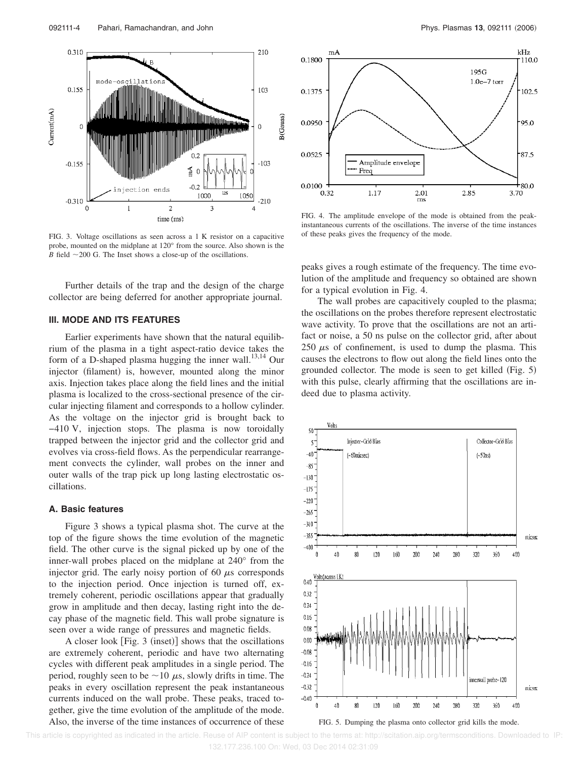

FIG. 3. Voltage oscillations as seen across a 1 K resistor on a capacitive probe, mounted on the midplane at 120° from the source. Also shown is the *B* field  $\sim$  200 G. The Inset shows a close-up of the oscillations.

Further details of the trap and the design of the charge collector are being deferred for another appropriate journal.

# **III. MODE AND ITS FEATURES**

Earlier experiments have shown that the natural equilibrium of the plasma in a tight aspect-ratio device takes the form of a D-shaped plasma hugging the inner wall. $^{13,14}$  Our injector (filament) is, however, mounted along the minor axis. Injection takes place along the field lines and the initial plasma is localized to the cross-sectional presence of the circular injecting filament and corresponds to a hollow cylinder. As the voltage on the injector grid is brought back to −410 V, injection stops. The plasma is now toroidally trapped between the injector grid and the collector grid and evolves via cross-field flows. As the perpendicular rearrangement convects the cylinder, wall probes on the inner and outer walls of the trap pick up long lasting electrostatic oscillations.

#### **A. Basic features**

Figure 3 shows a typical plasma shot. The curve at the top of the figure shows the time evolution of the magnetic field. The other curve is the signal picked up by one of the inner-wall probes placed on the midplane at 240° from the injector grid. The early noisy portion of 60  $\mu$ s corresponds to the injection period. Once injection is turned off, extremely coherent, periodic oscillations appear that gradually grow in amplitude and then decay, lasting right into the decay phase of the magnetic field. This wall probe signature is seen over a wide range of pressures and magnetic fields.

A closer look [Fig. 3 (inset)] shows that the oscillations are extremely coherent, periodic and have two alternating cycles with different peak amplitudes in a single period. The period, roughly seen to be  $\sim$  10  $\mu$ s, slowly drifts in time. The peaks in every oscillation represent the peak instantaneous currents induced on the wall probe. These peaks, traced together, give the time evolution of the amplitude of the mode. Also, the inverse of the time instances of occurrence of these



FIG. 4. The amplitude envelope of the mode is obtained from the peakinstantaneous currents of the oscillations. The inverse of the time instances of these peaks gives the frequency of the mode.

peaks gives a rough estimate of the frequency. The time evolution of the amplitude and frequency so obtained are shown for a typical evolution in Fig. 4.

The wall probes are capacitively coupled to the plasma; the oscillations on the probes therefore represent electrostatic wave activity. To prove that the oscillations are not an artifact or noise, a 50 ns pulse on the collector grid, after about 250  $\mu$ s of confinement, is used to dump the plasma. This causes the electrons to flow out along the field lines onto the grounded collector. The mode is seen to get killed (Fig. 5) with this pulse, clearly affirming that the oscillations are indeed due to plasma activity.





 This article is copyrighted as indicated in the article. Reuse of AIP content is subject to the terms at: http://scitation.aip.org/termsconditions. Downloaded to IP: 132.177.236.100 On: Wed, 03 Dec 2014 02:31:09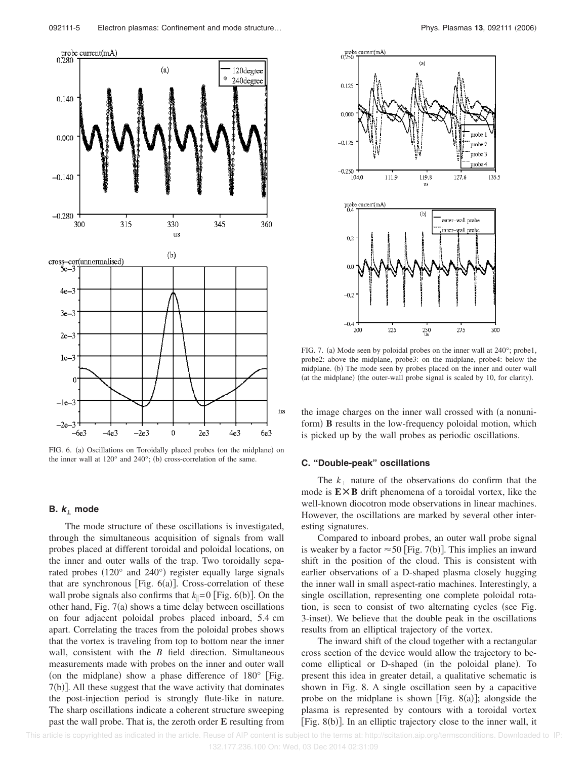

FIG. 6. (a) Oscillations on Toroidally placed probes (on the midplane) on the inner wall at  $120^{\circ}$  and  $240^{\circ}$ ; (b) cross-correlation of the same.

#### **B.**  $k_{\perp}$  mode

The mode structure of these oscillations is investigated, through the simultaneous acquisition of signals from wall probes placed at different toroidal and poloidal locations, on the inner and outer walls of the trap. Two toroidally separated probes (120° and 240°) register equally large signals that are synchronous [Fig.  $6(a)$ ]. Cross-correlation of these wall probe signals also confirms that  $k_{\parallel} = 0$  [Fig. 6(b)]. On the other hand, Fig.  $7(a)$  shows a time delay between oscillations on four adjacent poloidal probes placed inboard, 5.4 cm apart. Correlating the traces from the poloidal probes shows that the vortex is traveling from top to bottom near the inner wall, consistent with the *B* field direction. Simultaneous measurements made with probes on the inner and outer wall (on the midplane) show a phase difference of  $180^\circ$  [Fig. 7(b)]. All these suggest that the wave activity that dominates the post-injection period is strongly flute-like in nature. The sharp oscillations indicate a coherent structure sweeping past the wall probe. That is, the zeroth order **E** resulting from



FIG. 7. (a) Mode seen by poloidal probes on the inner wall at 240°; probe1, probe2: above the midplane, probe3: on the midplane, probe4: below the midplane. (b) The mode seen by probes placed on the inner and outer wall (at the midplane) (the outer-wall probe signal is scaled by 10, for clarity).

the image charges on the inner wall crossed with (a nonuniform) **B** results in the low-frequency poloidal motion, which is picked up by the wall probes as periodic oscillations.

#### **C. "Double-peak" oscillations**

The  $k_1$  nature of the observations do confirm that the mode is  $E \times B$  drift phenomena of a toroidal vortex, like the well-known diocotron mode observations in linear machines. However, the oscillations are marked by several other interesting signatures.

Compared to inboard probes, an outer wall probe signal is weaker by a factor  $\approx$  50 [Fig. 7(b)]. This implies an inward shift in the position of the cloud. This is consistent with earlier observations of a D-shaped plasma closely hugging the inner wall in small aspect-ratio machines. Interestingly, a single oscillation, representing one complete poloidal rotation, is seen to consist of two alternating cycles (see Fig. 3-inset). We believe that the double peak in the oscillations results from an elliptical trajectory of the vortex.

The inward shift of the cloud together with a rectangular cross section of the device would allow the trajectory to become elliptical or D-shaped (in the poloidal plane). To present this idea in greater detail, a qualitative schematic is shown in Fig. 8. A single oscillation seen by a capacitive probe on the midplane is shown [Fig. 8(a)]; alongside the plasma is represented by contours with a toroidal vortex [Fig. 8(b)]. In an elliptic trajectory close to the inner wall, it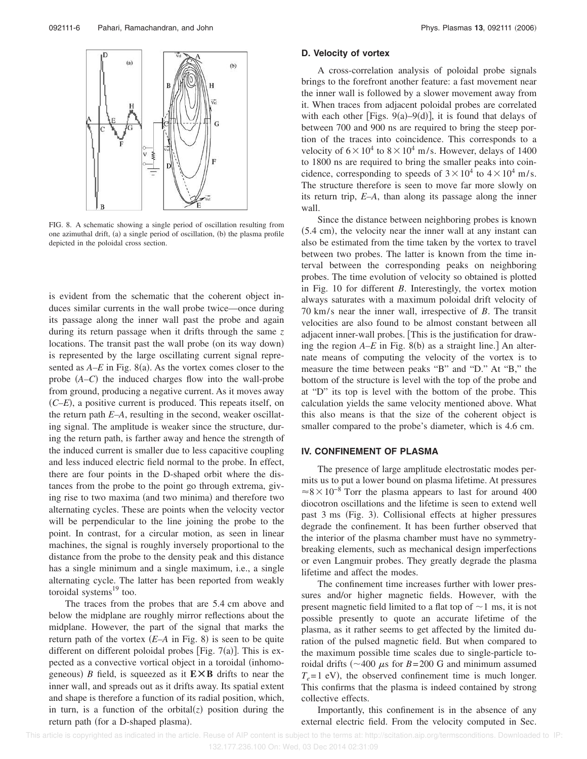

FIG. 8. A schematic showing a single period of oscillation resulting from one azimuthal drift, (a) a single period of oscillation, (b) the plasma profile depicted in the poloidal cross section.

is evident from the schematic that the coherent object induces similar currents in the wall probe twice—once during its passage along the inner wall past the probe and again during its return passage when it drifts through the same *z* locations. The transit past the wall probe (on its way down) is represented by the large oscillating current signal represented as  $A$ – $E$  in Fig. 8(a). As the vortex comes closer to the probe  $(A-C)$  the induced charges flow into the wall-probe from ground, producing a negative current. As it moves away  $(C-E)$ , a positive current is produced. This repeats itself, on the return path *E–A*, resulting in the second, weaker oscillating signal. The amplitude is weaker since the structure, during the return path, is farther away and hence the strength of the induced current is smaller due to less capacitive coupling and less induced electric field normal to the probe. In effect, there are four points in the D-shaped orbit where the distances from the probe to the point go through extrema, giving rise to two maxima (and two minima) and therefore two alternating cycles. These are points when the velocity vector will be perpendicular to the line joining the probe to the point. In contrast, for a circular motion, as seen in linear machines, the signal is roughly inversely proportional to the distance from the probe to the density peak and this distance has a single minimum and a single maximum, i.e., a single alternating cycle. The latter has been reported from weakly toroidal systems $^{19}$  too.

The traces from the probes that are 5.4 cm above and below the midplane are roughly mirror reflections about the midplane. However, the part of the signal that marks the return path of the vortex  $(E-A \text{ in Fig. 8})$  is seen to be quite different on different poloidal probes [Fig.  $7(a)$ ]. This is expected as a convective vortical object in a toroidal (inhomogeneous) B field, is squeezed as it  $E \times B$  drifts to near the inner wall, and spreads out as it drifts away. Its spatial extent and shape is therefore a function of its radial position, which, in turn, is a function of the orbital $(z)$  position during the return path (for a D-shaped plasma).

#### **D. Velocity of vortex**

A cross-correlation analysis of poloidal probe signals brings to the forefront another feature: a fast movement near the inner wall is followed by a slower movement away from it. When traces from adjacent poloidal probes are correlated with each other [Figs.  $9(a) - 9(d)$ ], it is found that delays of between 700 and 900 ns are required to bring the steep portion of the traces into coincidence. This corresponds to a velocity of  $6 \times 10^4$  to  $8 \times 10^4$  m/s. However, delays of 1400 to 1800 ns are required to bring the smaller peaks into coincidence, corresponding to speeds of  $3 \times 10^4$  to  $4 \times 10^4$  m/s. The structure therefore is seen to move far more slowly on its return trip, *E–A*, than along its passage along the inner wall.

Since the distance between neighboring probes is known  $(5.4 \text{ cm})$ , the velocity near the inner wall at any instant can also be estimated from the time taken by the vortex to travel between two probes. The latter is known from the time interval between the corresponding peaks on neighboring probes. The time evolution of velocity so obtained is plotted in Fig. 10 for different *B*. Interestingly, the vortex motion always saturates with a maximum poloidal drift velocity of 70 km/s near the inner wall, irrespective of *B*. The transit velocities are also found to be almost constant between all adjacent inner-wall probes. This is the justification for drawing the region  $A$ – $E$  in Fig. 8(b) as a straight line.] An alternate means of computing the velocity of the vortex is to measure the time between peaks "B" and "D." At "B," the bottom of the structure is level with the top of the probe and at "D" its top is level with the bottom of the probe. This calculation yields the same velocity mentioned above. What this also means is that the size of the coherent object is smaller compared to the probe's diameter, which is 4.6 cm.

#### **IV. CONFINEMENT OF PLASMA**

The presence of large amplitude electrostatic modes permits us to put a lower bound on plasma lifetime. At pressures  $\approx 8 \times 10^{-8}$  Torr the plasma appears to last for around 400 diocotron oscillations and the lifetime is seen to extend well past 3 ms (Fig. 3). Collisional effects at higher pressures degrade the confinement. It has been further observed that the interior of the plasma chamber must have no symmetrybreaking elements, such as mechanical design imperfections or even Langmuir probes. They greatly degrade the plasma lifetime and affect the modes.

The confinement time increases further with lower pressures and/or higher magnetic fields. However, with the present magnetic field limited to a flat top of  $\sim$  1 ms, it is not possible presently to quote an accurate lifetime of the plasma, as it rather seems to get affected by the limited duration of the pulsed magnetic field. But when compared to the maximum possible time scales due to single-particle toroidal drifts ( $\sim$ 400  $\mu$ s for *B*=200 G and minimum assumed  $T_e$ =1 eV), the observed confinement time is much longer. This confirms that the plasma is indeed contained by strong collective effects.

Importantly, this confinement is in the absence of any external electric field. From the velocity computed in Sec.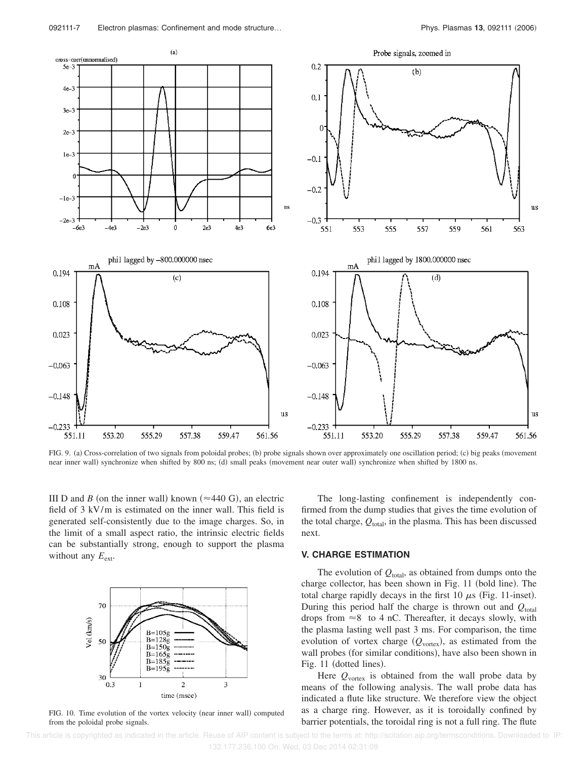

FIG. 9. (a) Cross-correlation of two signals from poloidal probes; (b) probe signals shown over approximately one oscillation period; (c) big peaks (movement near inner wall) synchronize when shifted by 800 ns; (d) small peaks (movement near outer wall) synchronize when shifted by 1800 ns.

III D and *B* (on the inner wall) known ( $\approx$ 440 G), an electric field of 3 kV/m is estimated on the inner wall. This field is generated self-consistently due to the image charges. So, in the limit of a small aspect ratio, the intrinsic electric fields can be substantially strong, enough to support the plasma without any  $E_{\text{ext}}$ .



FIG. 10. Time evolution of the vortex velocity (near inner wall) computed from the poloidal probe signals.

The long-lasting confinement is independently confirmed from the dump studies that gives the time evolution of the total charge,  $Q_{total}$ , in the plasma. This has been discussed next.

# **V. CHARGE ESTIMATION**

The evolution of  $Q_{total}$ , as obtained from dumps onto the charge collector, has been shown in Fig. 11 (bold line). The total charge rapidly decays in the first 10  $\mu$ s (Fig. 11-inset). During this period half the charge is thrown out and  $Q_{total}$ drops from  $\approx 8$  to 4 nC. Thereafter, it decays slowly, with the plasma lasting well past 3 ms. For comparison, the time evolution of vortex charge  $(Q_{\text{vortex}})$ , as estimated from the wall probes (for similar conditions), have also been shown in Fig. 11 (dotted lines).

Here  $Q_{\text{vortex}}$  is obtained from the wall probe data by means of the following analysis. The wall probe data has indicated a flute like structure. We therefore view the object as a charge ring. However, as it is toroidally confined by barrier potentials, the toroidal ring is not a full ring. The flute

 This article is copyrighted as indicated in the article. Reuse of AIP content is subject to the terms at: http://scitation.aip.org/termsconditions. Downloaded to IP: 132.177.236.100 On: Wed, 03 Dec 2014 02:31:09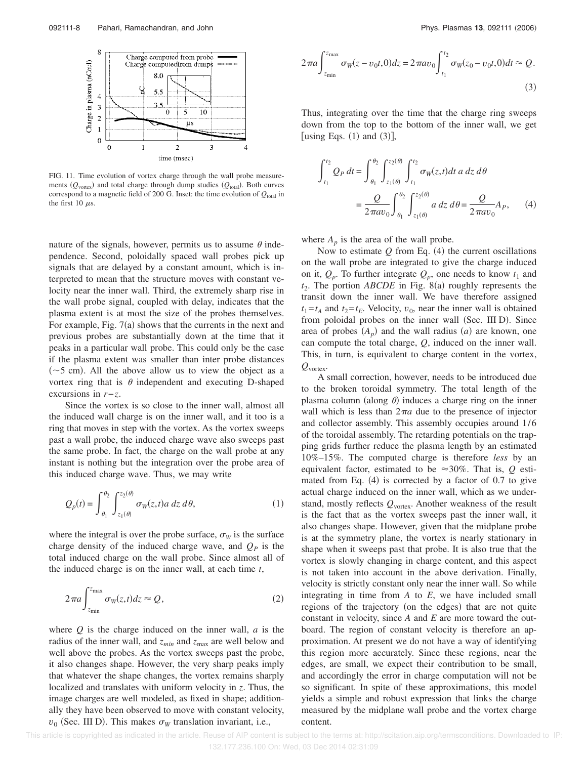

FIG. 11. Time evolution of vortex charge through the wall probe measurements  $(Q_{\text{vortex}})$  and total charge through dump studies  $(Q_{\text{total}})$ . Both curves correspond to a magnetic field of 200 G. Inset: the time evolution of  $Q_{total}$  in the first 10  $\mu$ s.

nature of the signals, however, permits us to assume  $\theta$  independence. Second, poloidally spaced wall probes pick up signals that are delayed by a constant amount, which is interpreted to mean that the structure moves with constant velocity near the inner wall. Third, the extremely sharp rise in the wall probe signal, coupled with delay, indicates that the plasma extent is at most the size of the probes themselves. For example, Fig.  $7(a)$  shows that the currents in the next and previous probes are substantially down at the time that it peaks in a particular wall probe. This could only be the case if the plasma extent was smaller than inter probe distances  $(\sim 5 \text{ cm})$ . All the above allow us to view the object as a vortex ring that is  $\theta$  independent and executing D-shaped excursions in *r*−*z*.

Since the vortex is so close to the inner wall, almost all the induced wall charge is on the inner wall, and it too is a ring that moves in step with the vortex. As the vortex sweeps past a wall probe, the induced charge wave also sweeps past the same probe. In fact, the charge on the wall probe at any instant is nothing but the integration over the probe area of this induced charge wave. Thus, we may write

$$
Q_p(t) = \int_{\theta_1}^{\theta_2} \int_{z_1(\theta)}^{z_2(\theta)} \sigma_W(z, t) a \, dz \, d\theta,\tag{1}
$$

where the integral is over the probe surface,  $\sigma_W$  is the surface charge density of the induced charge wave, and  $Q<sub>P</sub>$  is the total induced charge on the wall probe. Since almost all of the induced charge is on the inner wall, at each time *t*,

$$
2\pi a \int_{z_{\min}}^{z_{\max}} \sigma_W(z, t) dz \approx Q,
$$
 (2)

where *Q* is the charge induced on the inner wall, *a* is the radius of the inner wall, and  $z_{min}$  and  $z_{max}$  are well below and well above the probes. As the vortex sweeps past the probe, it also changes shape. However, the very sharp peaks imply that whatever the shape changes, the vortex remains sharply localized and translates with uniform velocity in *z*. Thus, the image charges are well modeled, as fixed in shape; additionally they have been observed to move with constant velocity,  $v_0$  (Sec. III D). This makes  $\sigma_W$  translation invariant, i.e.,

$$
2\pi a \int_{z_{\min}}^{z_{\max}} \sigma_W(z - v_0 t, 0) dz = 2\pi a v_0 \int_{t_1}^{t_2} \sigma_W(z_0 - v_0 t, 0) dt \approx Q.
$$
\n(3)

Thus, integrating over the time that the charge ring sweeps down from the top to the bottom of the inner wall, we get [using Eqs.  $(1)$  and  $(3)$ ],

$$
\int_{t_1}^{t_2} Q_P dt = \int_{\theta_1}^{\theta_2} \int_{z_1(\theta)}^{z_2(\theta)} \int_{t_1}^{t_2} \sigma_W(z, t) dt \, a \, dz \, d\theta
$$

$$
= \frac{Q}{2 \pi a v_0} \int_{\theta_1}^{\theta_2} \int_{z_1(\theta)}^{z_2(\theta)} a \, dz \, d\theta = \frac{Q}{2 \pi a v_0} A_P, \qquad (4)
$$

where  $A_p$  is the area of the wall probe.

Now to estimate  $Q$  from Eq.  $(4)$  the current oscillations on the wall probe are integrated to give the charge induced on it,  $Q_p$ . To further integrate  $Q_p$ , one needs to know  $t_1$  and  $t_2$ . The portion *ABCDE* in Fig. 8(a) roughly represents the transit down the inner wall. We have therefore assigned  $t_1 = t_A$  and  $t_2 = t_E$ . Velocity,  $v_0$ , near the inner wall is obtained from poloidal probes on the inner wall (Sec. III D). Since area of probes  $(A_p)$  and the wall radius  $(a)$  are known, one can compute the total charge, *Q*, induced on the inner wall. This, in turn, is equivalent to charge content in the vortex, *Q*vortex.

A small correction, however, needs to be introduced due to the broken toroidal symmetry. The total length of the plasma column (along  $\theta$ ) induces a charge ring on the inner wall which is less than  $2\pi a$  due to the presence of injector and collector assembly. This assembly occupies around 1/6 of the toroidal assembly. The retarding potentials on the trapping grids further reduce the plasma length by an estimated 10%–15%. The computed charge is therefore *less* by an equivalent factor, estimated to be  $\approx 30\%$ . That is, *Q* estimated from Eq.  $(4)$  is corrected by a factor of 0.7 to give actual charge induced on the inner wall, which as we understand, mostly reflects  $Q_{\text{vortex}}$ . Another weakness of the result is the fact that as the vortex sweeps past the inner wall, it also changes shape. However, given that the midplane probe is at the symmetry plane, the vortex is nearly stationary in shape when it sweeps past that probe. It is also true that the vortex is slowly changing in charge content, and this aspect is not taken into account in the above derivation. Finally, velocity is strictly constant only near the inner wall. So while integrating in time from *A* to *E*, we have included small regions of the trajectory (on the edges) that are not quite constant in velocity, since *A* and *E* are more toward the outboard. The region of constant velocity is therefore an approximation. At present we do not have a way of identifying this region more accurately. Since these regions, near the edges, are small, we expect their contribution to be small, and accordingly the error in charge computation will not be so significant. In spite of these approximations, this model yields a simple and robust expression that links the charge measured by the midplane wall probe and the vortex charge content.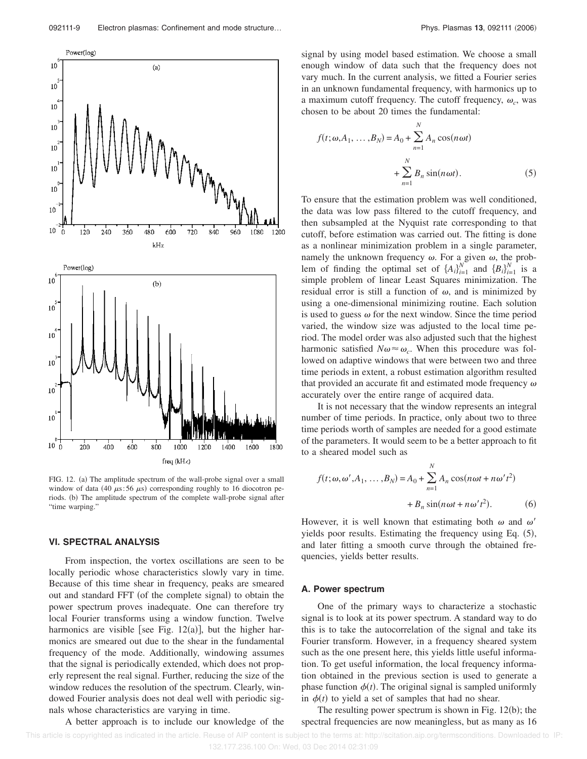

FIG. 12. (a) The amplitude spectrum of the wall-probe signal over a small window of data (40  $\mu$ s: 56  $\mu$ s) corresponding roughly to 16 diocotron periods. (b) The amplitude spectrum of the complete wall-probe signal after "time warping."

# **VI. SPECTRAL ANALYSIS**

From inspection, the vortex oscillations are seen to be locally periodic whose characteristics slowly vary in time. Because of this time shear in frequency, peaks are smeared out and standard FFT (of the complete signal) to obtain the power spectrum proves inadequate. One can therefore try local Fourier transforms using a window function. Twelve harmonics are visible [see Fig.  $12(a)$ ], but the higher harmonics are smeared out due to the shear in the fundamental frequency of the mode. Additionally, windowing assumes that the signal is periodically extended, which does not properly represent the real signal. Further, reducing the size of the window reduces the resolution of the spectrum. Clearly, windowed Fourier analysis does not deal well with periodic signals whose characteristics are varying in time.

A better approach is to include our knowledge of the

signal by using model based estimation. We choose a small enough window of data such that the frequency does not vary much. In the current analysis, we fitted a Fourier series in an unknown fundamental frequency, with harmonics up to a maximum cutoff frequency. The cutoff frequency,  $\omega_c$ , was chosen to be about 20 times the fundamental:

$$
f(t; \omega, A_1, \dots, B_N) = A_0 + \sum_{n=1}^{N} A_n \cos(n \omega t)
$$

$$
+ \sum_{n=1}^{N} B_n \sin(n \omega t).
$$
 (5)

To ensure that the estimation problem was well conditioned, the data was low pass filtered to the cutoff frequency, and then subsampled at the Nyquist rate corresponding to that cutoff, before estimation was carried out. The fitting is done as a nonlinear minimization problem in a single parameter, namely the unknown frequency  $\omega$ . For a given  $\omega$ , the problem of finding the optimal set of  $\{A_i\}_{i=1}^N$  and  $\{B_i\}_{i=1}^N$  is a simple problem of linear Least Squares minimization. The residual error is still a function of  $\omega$ , and is minimized by using a one-dimensional minimizing routine. Each solution is used to guess  $\omega$  for the next window. Since the time period varied, the window size was adjusted to the local time period. The model order was also adjusted such that the highest harmonic satisfied  $N\omega \approx \omega_c$ . When this procedure was followed on adaptive windows that were between two and three time periods in extent, a robust estimation algorithm resulted that provided an accurate fit and estimated mode frequency  $\omega$ accurately over the entire range of acquired data.

It is not necessary that the window represents an integral number of time periods. In practice, only about two to three time periods worth of samples are needed for a good estimate of the parameters. It would seem to be a better approach to fit to a sheared model such as

$$
f(t; \omega, \omega', A_1, \dots, B_N) = A_0 + \sum_{n=1}^{N} A_n \cos(n\omega t + n\omega' t^2)
$$

$$
+ B_n \sin(n\omega t + n\omega' t^2). \tag{6}
$$

However, it is well known that estimating both  $\omega$  and  $\omega'$ yields poor results. Estimating the frequency using Eq. (5), and later fitting a smooth curve through the obtained frequencies, yields better results.

# **A. Power spectrum**

One of the primary ways to characterize a stochastic signal is to look at its power spectrum. A standard way to do this is to take the autocorrelation of the signal and take its Fourier transform. However, in a frequency sheared system such as the one present here, this yields little useful information. To get useful information, the local frequency information obtained in the previous section is used to generate a phase function  $\phi(t)$ . The original signal is sampled uniformly in  $\phi(t)$  to yield a set of samples that had no shear.

The resulting power spectrum is shown in Fig.  $12(b)$ ; the spectral frequencies are now meaningless, but as many as 16

This article is copyrighted as indicated in the article. Reuse of AIP content is subject to the terms at: http://scitation.aip.org/termsconditions. Downloaded to IP: 132.177.236.100 On: Wed, 03 Dec 2014 02:31:09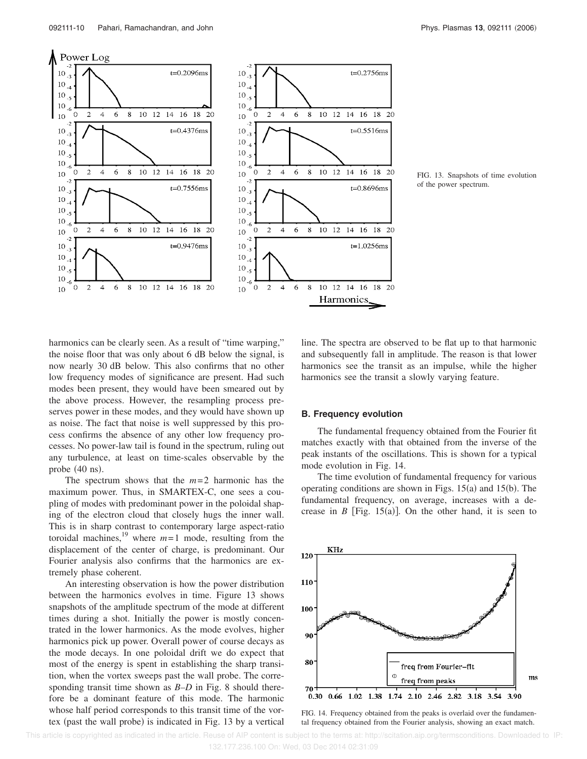

FIG. 13. Snapshots of time evolution of the power spectrum.

harmonics can be clearly seen. As a result of "time warping," the noise floor that was only about 6 dB below the signal, is now nearly 30 dB below. This also confirms that no other low frequency modes of significance are present. Had such modes been present, they would have been smeared out by the above process. However, the resampling process preserves power in these modes, and they would have shown up as noise. The fact that noise is well suppressed by this process confirms the absence of any other low frequency processes. No power-law tail is found in the spectrum, ruling out any turbulence, at least on time-scales observable by the probe  $(40 \text{ ns})$ .

The spectrum shows that the *m*=2 harmonic has the maximum power. Thus, in SMARTEX-C, one sees a coupling of modes with predominant power in the poloidal shaping of the electron cloud that closely hugs the inner wall. This is in sharp contrast to contemporary large aspect-ratio toroidal machines,<sup>19</sup> where  $m=1$  mode, resulting from the displacement of the center of charge, is predominant. Our Fourier analysis also confirms that the harmonics are extremely phase coherent.

An interesting observation is how the power distribution between the harmonics evolves in time. Figure 13 shows snapshots of the amplitude spectrum of the mode at different times during a shot. Initially the power is mostly concentrated in the lower harmonics. As the mode evolves, higher harmonics pick up power. Overall power of course decays as the mode decays. In one poloidal drift we do expect that most of the energy is spent in establishing the sharp transition, when the vortex sweeps past the wall probe. The corresponding transit time shown as *B–D* in Fig. 8 should therefore be a dominant feature of this mode. The harmonic whose half period corresponds to this transit time of the vortex (past the wall probe) is indicated in Fig. 13 by a vertical

line. The spectra are observed to be flat up to that harmonic and subsequently fall in amplitude. The reason is that lower harmonics see the transit as an impulse, while the higher harmonics see the transit a slowly varying feature.

#### **B. Frequency evolution**

The fundamental frequency obtained from the Fourier fit matches exactly with that obtained from the inverse of the peak instants of the oscillations. This is shown for a typical mode evolution in Fig. 14.

The time evolution of fundamental frequency for various operating conditions are shown in Figs.  $15(a)$  and  $15(b)$ . The fundamental frequency, on average, increases with a decrease in  $B$  [Fig. 15(a)]. On the other hand, it is seen to



FIG. 14. Frequency obtained from the peaks is overlaid over the fundamental frequency obtained from the Fourier analysis, showing an exact match.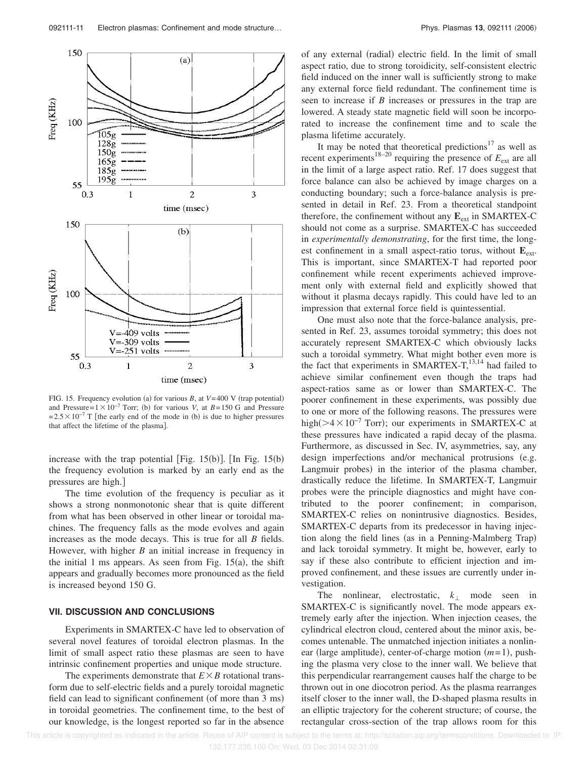

FIG. 15. Frequency evolution (a) for various *B*, at *V*=400 V (trap potential) and Pressure= $1 \times 10^{-7}$  Torr; (b) for various *V*, at *B*=150 G and Pressure  $=2.5\times10^{-7}$  T [the early end of the mode in (b) is due to higher pressures that affect the lifetime of the plasma].

increase with the trap potential [Fig.  $15(b)$ ]. [In Fig.  $15(b)$ ] the frequency evolution is marked by an early end as the pressures are high.

The time evolution of the frequency is peculiar as it shows a strong nonmonotonic shear that is quite different from what has been observed in other linear or toroidal machines. The frequency falls as the mode evolves and again increases as the mode decays. This is true for all *B* fields. However, with higher *B* an initial increase in frequency in the initial 1 ms appears. As seen from Fig.  $15(a)$ , the shift appears and gradually becomes more pronounced as the field is increased beyond 150 G.

# **VII. DISCUSSION AND CONCLUSIONS**

Experiments in SMARTEX-C have led to observation of several novel features of toroidal electron plasmas. In the limit of small aspect ratio these plasmas are seen to have intrinsic confinement properties and unique mode structure.

The experiments demonstrate that  $E \times B$  rotational transform due to self-electric fields and a purely toroidal magnetic field can lead to significant confinement (of more than 3 ms) in toroidal geometries. The confinement time, to the best of our knowledge, is the longest reported so far in the absence

of any external (radial) electric field. In the limit of small aspect ratio, due to strong toroidicity, self-consistent electric field induced on the inner wall is sufficiently strong to make any external force field redundant. The confinement time is seen to increase if *B* increases or pressures in the trap are lowered. A steady state magnetic field will soon be incorporated to increase the confinement time and to scale the plasma lifetime accurately.

It may be noted that theoretical predictions<sup>17</sup> as well as recent experiments<sup>18–20</sup> requiring the presence of  $E_{ext}$  are all in the limit of a large aspect ratio. Ref. 17 does suggest that force balance can also be achieved by image charges on a conducting boundary; such a force-balance analysis is presented in detail in Ref. 23. From a theoretical standpoint therefore, the confinement without any  $E_{ext}$  in SMARTEX-C should not come as a surprise. SMARTEX-C has succeeded in *experimentally demonstrating*, for the first time, the longest confinement in a small aspect-ratio torus, without  $E_{ext}$ . This is important, since SMARTEX-T had reported poor confinement while recent experiments achieved improvement only with external field and explicitly showed that without it plasma decays rapidly. This could have led to an impression that external force field is quintessential.

One must also note that the force-balance analysis, presented in Ref. 23, assumes toroidal symmetry; this does not accurately represent SMARTEX-C which obviously lacks such a toroidal symmetry. What might bother even more is the fact that experiments in SMARTEX-T, $^{13,14}$  had failed to achieve similar confinement even though the traps had aspect-ratios same as or lower than SMARTEX-C. The poorer confinement in these experiments, was possibly due to one or more of the following reasons. The pressures were high( $>4\times10^{-7}$  Torr); our experiments in SMARTEX-C at these pressures have indicated a rapid decay of the plasma. Furthermore, as discussed in Sec. IV, asymmetries, say, any design imperfections and/or mechanical protrusions (e.g. Langmuir probes) in the interior of the plasma chamber, drastically reduce the lifetime. In SMARTEX-T, Langmuir probes were the principle diagnostics and might have contributed to the poorer confinement; in comparison, SMARTEX-C relies on nonintrusive diagnostics. Besides, SMARTEX-C departs from its predecessor in having injection along the field lines (as in a Penning-Malmberg Trap) and lack toroidal symmetry. It might be, however, early to say if these also contribute to efficient injection and improved confinement, and these issues are currently under investigation.

The nonlinear, electrostatic,  $k_1$  mode seen in SMARTEX-C is significantly novel. The mode appears extremely early after the injection. When injection ceases, the cylindrical electron cloud, centered about the minor axis, becomes untenable. The unmatched injection initiates a nonlinear (large amplitude), center-of-charge motion (*m*=1), pushing the plasma very close to the inner wall. We believe that this perpendicular rearrangement causes half the charge to be thrown out in one diocotron period. As the plasma rearranges itself closer to the inner wall, the D-shaped plasma results in an elliptic trajectory for the coherent structure; of course, the rectangular cross-section of the trap allows room for this